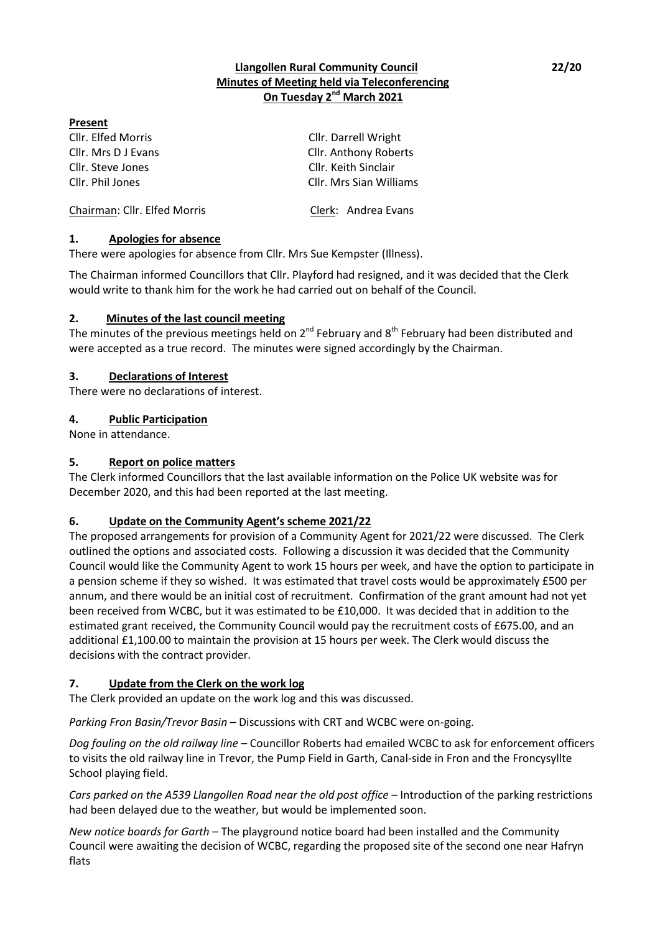## **Llangollen Rural Community Council 22/20 Minutes of Meeting held via Teleconferencing On Tuesday 2 nd March 2021**

### **Present**

Cllr. Steve Jones Cllr. Keith Sinclair

Cllr. Elfed Morris Cllr. Darrell Wright Cllr. Mrs D J Evans Cllr. Anthony Roberts Cllr. Phil Jones Cllr. Mrs Sian Williams

Chairman: Cllr. Elfed Morris Clerk: Andrea Evans

# **1. Apologies for absence**

There were apologies for absence from Cllr. Mrs Sue Kempster (Illness).

The Chairman informed Councillors that Cllr. Playford had resigned, and it was decided that the Clerk would write to thank him for the work he had carried out on behalf of the Council.

# **2. Minutes of the last council meeting**

The minutes of the previous meetings held on  $2^{nd}$  February and  $8^{th}$  February had been distributed and were accepted as a true record. The minutes were signed accordingly by the Chairman.

# **3. Declarations of Interest**

There were no declarations of interest.

# **4. Public Participation**

None in attendance.

# **5. Report on police matters**

The Clerk informed Councillors that the last available information on the Police UK website was for December 2020, and this had been reported at the last meeting.

# **6. Update on the Community Agent's scheme 2021/22**

The proposed arrangements for provision of a Community Agent for 2021/22 were discussed. The Clerk outlined the options and associated costs. Following a discussion it was decided that the Community Council would like the Community Agent to work 15 hours per week, and have the option to participate in a pension scheme if they so wished. It was estimated that travel costs would be approximately £500 per annum, and there would be an initial cost of recruitment. Confirmation of the grant amount had not yet been received from WCBC, but it was estimated to be £10,000. It was decided that in addition to the estimated grant received, the Community Council would pay the recruitment costs of £675.00, and an additional £1,100.00 to maintain the provision at 15 hours per week. The Clerk would discuss the decisions with the contract provider.

# **7. Update from the Clerk on the work log**

The Clerk provided an update on the work log and this was discussed.

*Parking Fron Basin/Trevor Basin* – Discussions with CRT and WCBC were on-going.

*Dog fouling on the old railway line* – Councillor Roberts had emailed WCBC to ask for enforcement officers to visits the old railway line in Trevor, the Pump Field in Garth, Canal-side in Fron and the Froncysyllte School playing field.

*Cars parked on the A539 Llangollen Road near the old post office* – Introduction of the parking restrictions had been delayed due to the weather, but would be implemented soon.

*New notice boards for Garth* – The playground notice board had been installed and the Community Council were awaiting the decision of WCBC, regarding the proposed site of the second one near Hafryn flats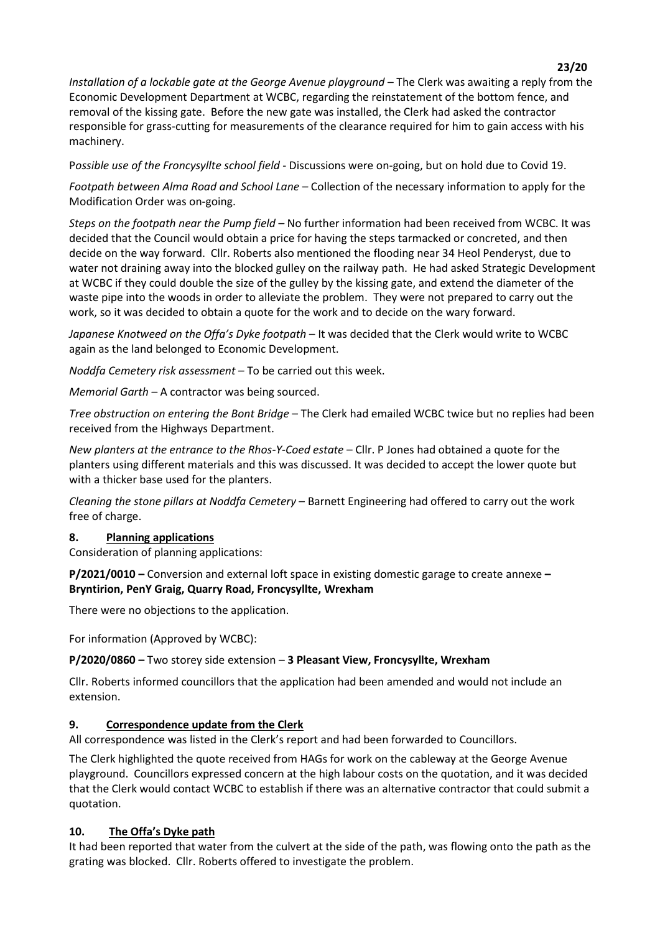*Installation of a lockable gate at the George Avenue playground* – The Clerk was awaiting a reply from the Economic Development Department at WCBC, regarding the reinstatement of the bottom fence, and removal of the kissing gate. Before the new gate was installed, the Clerk had asked the contractor responsible for grass-cutting for measurements of the clearance required for him to gain access with his machinery.

P*ossible use of the Froncysyllte school field* - Discussions were on-going, but on hold due to Covid 19.

*Footpath between Alma Road and School Lane* – Collection of the necessary information to apply for the Modification Order was on-going.

*Steps on the footpath near the Pump field* – No further information had been received from WCBC. It was decided that the Council would obtain a price for having the steps tarmacked or concreted, and then decide on the way forward. Cllr. Roberts also mentioned the flooding near 34 Heol Penderyst, due to water not draining away into the blocked gulley on the railway path. He had asked Strategic Development at WCBC if they could double the size of the gulley by the kissing gate, and extend the diameter of the waste pipe into the woods in order to alleviate the problem. They were not prepared to carry out the work, so it was decided to obtain a quote for the work and to decide on the wary forward.

*Japanese Knotweed on the Offa's Dyke footpath* – It was decided that the Clerk would write to WCBC again as the land belonged to Economic Development.

*Noddfa Cemetery risk assessment –* To be carried out this week.

*Memorial Garth* – A contractor was being sourced.

*Tree obstruction on entering the Bont Bridge* – The Clerk had emailed WCBC twice but no replies had been received from the Highways Department.

*New planters at the entrance to the Rhos-Y-Coed estate* – Cllr. P Jones had obtained a quote for the planters using different materials and this was discussed. It was decided to accept the lower quote but with a thicker base used for the planters.

*Cleaning the stone pillars at Noddfa Cemetery* – Barnett Engineering had offered to carry out the work free of charge.

#### **8. Planning applications**

Consideration of planning applications:

**P/2021/0010 –** Conversion and external loft space in existing domestic garage to create annexe **– Bryntirion, PenY Graig, Quarry Road, Froncysyllte, Wrexham**

There were no objections to the application.

For information (Approved by WCBC):

**P/2020/0860 –** Two storey side extension – **3 Pleasant View, Froncysyllte, Wrexham**

Cllr. Roberts informed councillors that the application had been amended and would not include an extension.

#### **9. Correspondence update from the Clerk**

All correspondence was listed in the Clerk's report and had been forwarded to Councillors.

The Clerk highlighted the quote received from HAGs for work on the cableway at the George Avenue playground. Councillors expressed concern at the high labour costs on the quotation, and it was decided that the Clerk would contact WCBC to establish if there was an alternative contractor that could submit a quotation.

#### **10. The Offa's Dyke path**

It had been reported that water from the culvert at the side of the path, was flowing onto the path as the grating was blocked. Cllr. Roberts offered to investigate the problem.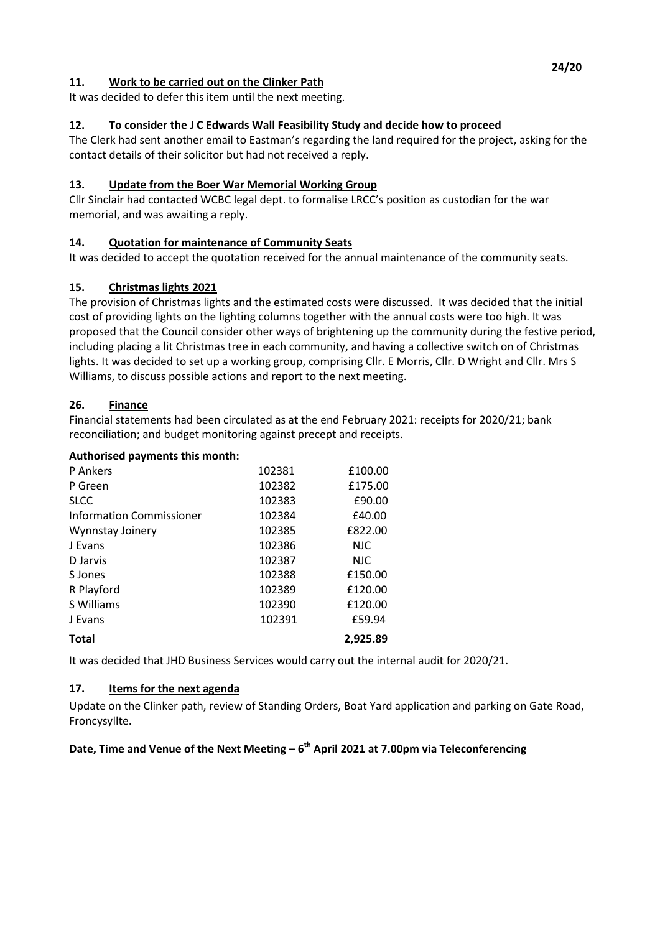## **11. Work to be carried out on the Clinker Path**

It was decided to defer this item until the next meeting.

## **12. To consider the J C Edwards Wall Feasibility Study and decide how to proceed**

The Clerk had sent another email to Eastman's regarding the land required for the project, asking for the contact details of their solicitor but had not received a reply.

### **13. Update from the Boer War Memorial Working Group**

Cllr Sinclair had contacted WCBC legal dept. to formalise LRCC's position as custodian for the war memorial, and was awaiting a reply.

## **14. Quotation for maintenance of Community Seats**

It was decided to accept the quotation received for the annual maintenance of the community seats.

### **15. Christmas lights 2021**

The provision of Christmas lights and the estimated costs were discussed. It was decided that the initial cost of providing lights on the lighting columns together with the annual costs were too high. It was proposed that the Council consider other ways of brightening up the community during the festive period, including placing a lit Christmas tree in each community, and having a collective switch on of Christmas lights. It was decided to set up a working group, comprising Cllr. E Morris, Cllr. D Wright and Cllr. Mrs S Williams, to discuss possible actions and report to the next meeting.

### **26. Finance**

Financial statements had been circulated as at the end February 2021: receipts for 2020/21; bank reconciliation; and budget monitoring against precept and receipts.

#### **Authorised payments this month:**

| <b>P</b> Ankers          | 102381 | £100.00    |
|--------------------------|--------|------------|
| P Green                  | 102382 | £175.00    |
| <b>SLCC</b>              | 102383 | £90.00     |
| Information Commissioner | 102384 | £40.00     |
| Wynnstay Joinery         | 102385 | £822.00    |
| J Evans                  | 102386 | <b>NJC</b> |
| D Jarvis                 | 102387 | <b>NJC</b> |
| S Jones                  | 102388 | £150.00    |
| R Playford               | 102389 | £120.00    |
| S Williams               | 102390 | £120.00    |
| J Evans                  | 102391 | £59.94     |
| <b>Total</b>             |        | 2.925.89   |

It was decided that JHD Business Services would carry out the internal audit for 2020/21.

#### **17. Items for the next agenda**

Update on the Clinker path, review of Standing Orders, Boat Yard application and parking on Gate Road, Froncysyllte.

### **Date, Time and Venue of the Next Meeting – 6 th April 2021 at 7.00pm via Teleconferencing**